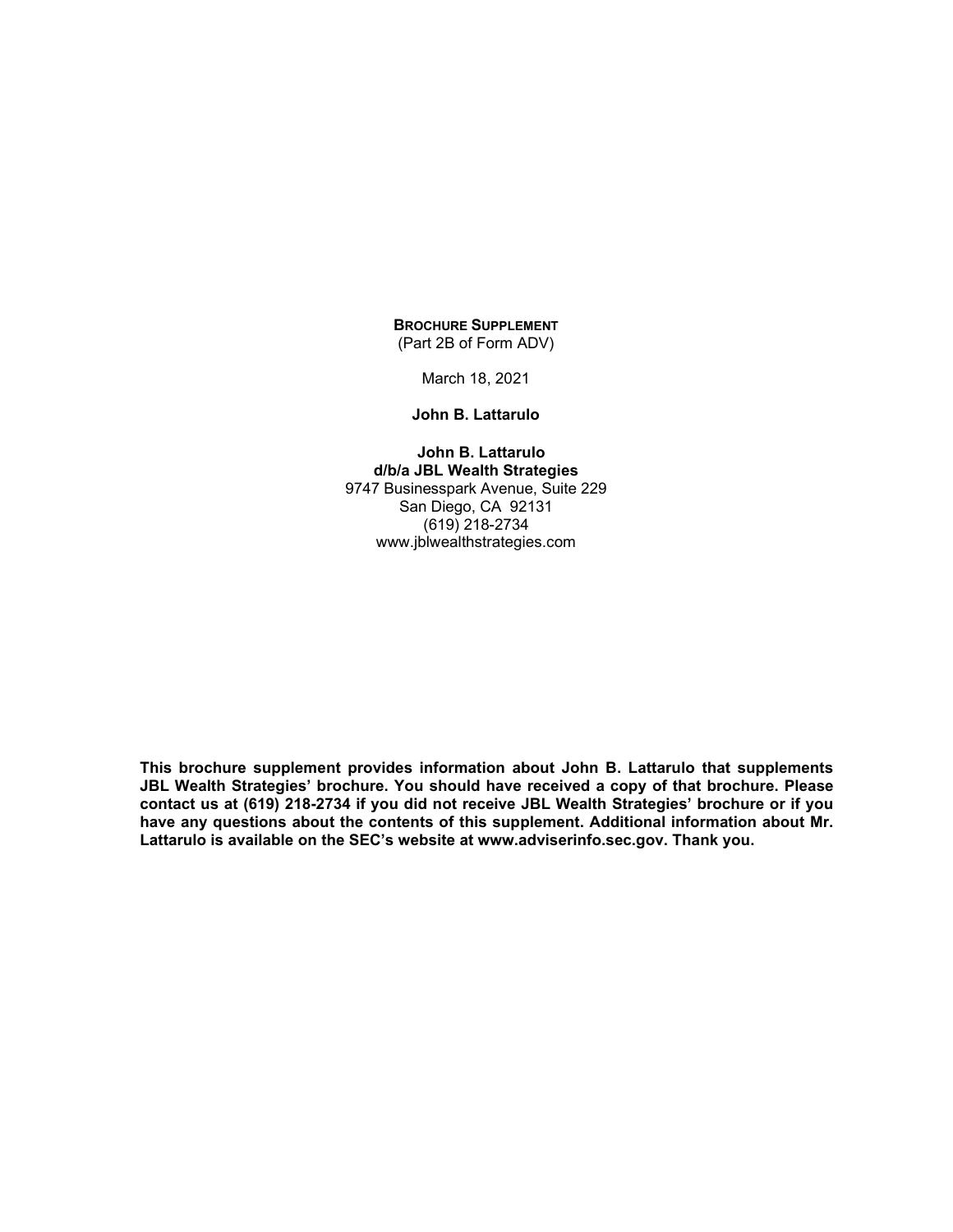#### **BROCHURE SUPPLEMENT** (Part 2B of Form ADV)

March 18, 2021

#### **John B. Lattarulo**

**John B. Lattarulo d/b/a JBL Wealth Strategies** 9747 Businesspark Avenue, Suite 229 San Diego, CA 92131 (619) 218-2734 www.jblwealthstrategies.com

**This brochure supplement provides information about John B. Lattarulo that supplements JBL Wealth Strategies' brochure. You should have received a copy of that brochure. Please contact us at (619) 218-2734 if you did not receive JBL Wealth Strategies' brochure or if you have any questions about the contents of this supplement. Additional information about Mr. Lattarulo is available on the SEC's website at www.adviserinfo.sec.gov. Thank you.**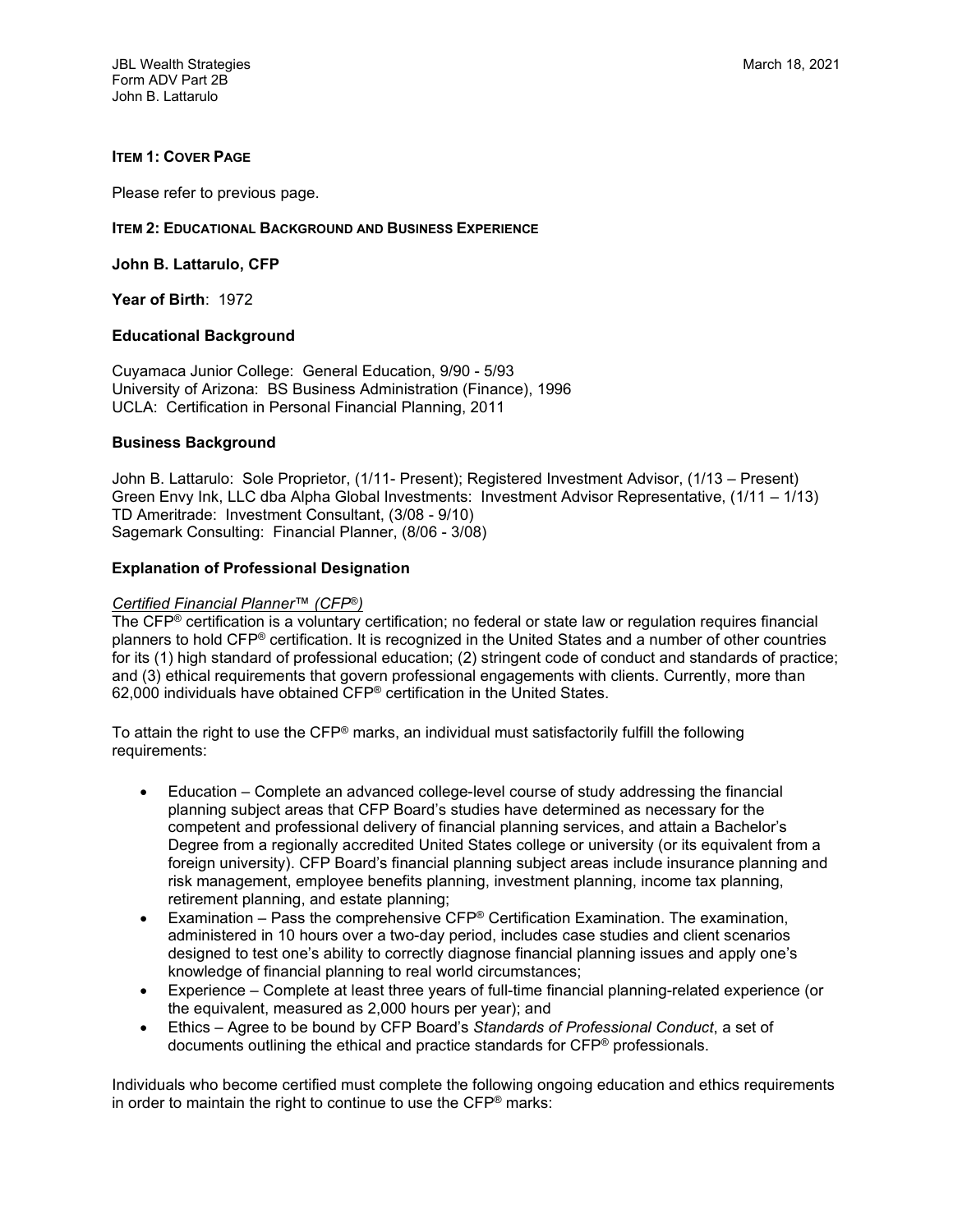JBL Wealth Strategies March 18, 2021 Form ADV Part 2B John B. Lattarulo

## **ITEM 1: COVER PAGE**

Please refer to previous page.

#### **ITEM 2: EDUCATIONAL BACKGROUND AND BUSINESS EXPERIENCE**

**John B. Lattarulo, CFP**

**Year of Birth**: 1972

### **Educational Background**

Cuyamaca Junior College: General Education, 9/90 - 5/93 University of Arizona: BS Business Administration (Finance), 1996 UCLA: Certification in Personal Financial Planning, 2011

### **Business Background**

John B. Lattarulo: Sole Proprietor, (1/11- Present); Registered Investment Advisor, (1/13 – Present) Green Envy Ink, LLC dba Alpha Global Investments: Investment Advisor Representative, (1/11 – 1/13) TD Ameritrade: Investment Consultant, (3/08 - 9/10) Sagemark Consulting: Financial Planner, (8/06 - 3/08)

### **Explanation of Professional Designation**

#### *Certified Financial Planner*™ *(CFP*®*)*

The CFP® certification is a voluntary certification; no federal or state law or regulation requires financial planners to hold CFP® certification. It is recognized in the United States and a number of other countries for its (1) high standard of professional education; (2) stringent code of conduct and standards of practice; and (3) ethical requirements that govern professional engagements with clients. Currently, more than 62,000 individuals have obtained CFP® certification in the United States.

To attain the right to use the CFP® marks, an individual must satisfactorily fulfill the following requirements:

- Education Complete an advanced college-level course of study addressing the financial planning subject areas that CFP Board's studies have determined as necessary for the competent and professional delivery of financial planning services, and attain a Bachelor's Degree from a regionally accredited United States college or university (or its equivalent from a foreign university). CFP Board's financial planning subject areas include insurance planning and risk management, employee benefits planning, investment planning, income tax planning, retirement planning, and estate planning;
- Examination Pass the comprehensive  $CFP^{\circledast}$  Certification Examination. The examination, administered in 10 hours over a two-day period, includes case studies and client scenarios designed to test one's ability to correctly diagnose financial planning issues and apply one's knowledge of financial planning to real world circumstances;
- Experience Complete at least three years of full-time financial planning-related experience (or the equivalent, measured as 2,000 hours per year); and
- Ethics Agree to be bound by CFP Board's *Standards of Professional Conduct*, a set of documents outlining the ethical and practice standards for CFP® professionals.

Individuals who become certified must complete the following ongoing education and ethics requirements in order to maintain the right to continue to use the CFP® marks: